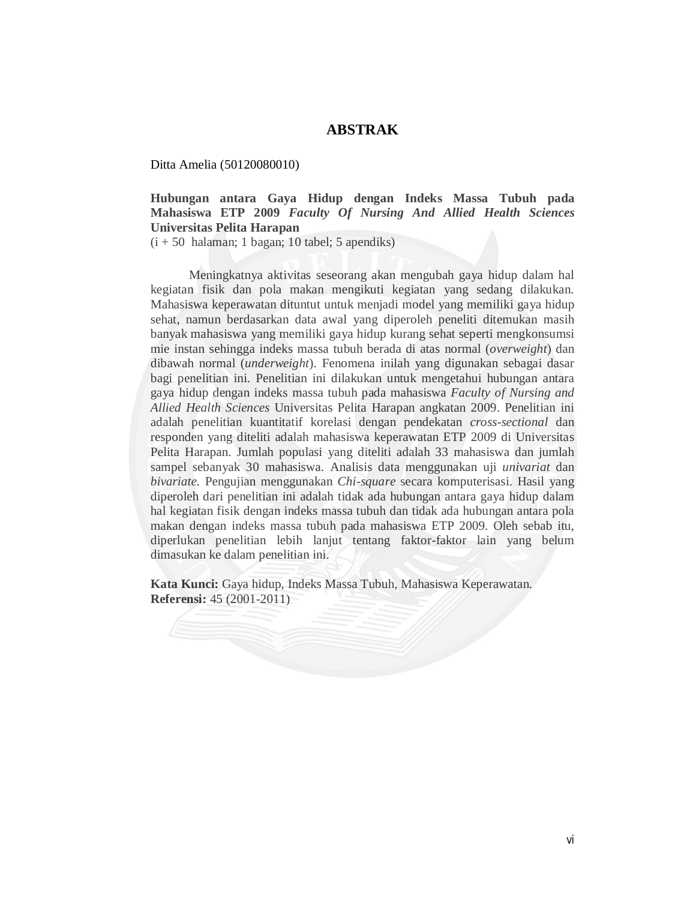## **ABSTRAK**

Ditta Amelia (50120080010)

**Hubungan antara Gaya Hidup dengan Indeks Massa Tubuh pada Mahasiswa ETP 2009** *Faculty Of Nursing And Allied Health Sciences*  **Universitas Pelita Harapan**

 $(i + 50$  halaman; 1 bagan; 10 tabel; 5 apendiks)

Meningkatnya aktivitas seseorang akan mengubah gaya hidup dalam hal kegiatan fisik dan pola makan mengikuti kegiatan yang sedang dilakukan. Mahasiswa keperawatan dituntut untuk menjadi model yang memiliki gaya hidup sehat, namun berdasarkan data awal yang diperoleh peneliti ditemukan masih banyak mahasiswa yang memiliki gaya hidup kurang sehat seperti mengkonsumsi mie instan sehingga indeks massa tubuh berada di atas normal (*overweight*) dan dibawah normal (*underweight*). Fenomena inilah yang digunakan sebagai dasar bagi penelitian ini. Penelitian ini dilakukan untuk mengetahui hubungan antara gaya hidup dengan indeks massa tubuh pada mahasiswa *Faculty of Nursing and Allied Health Sciences* Universitas Pelita Harapan angkatan 2009. Penelitian ini adalah penelitian kuantitatif korelasi dengan pendekatan *cross-sectional* dan responden yang diteliti adalah mahasiswa keperawatan ETP 2009 di Universitas Pelita Harapan. Jumlah populasi yang diteliti adalah 33 mahasiswa dan jumlah sampel sebanyak 30 mahasiswa. Analisis data menggunakan uji *univariat* dan *bivariate.* Pengujian menggunakan *Chi-square* secara komputerisasi. Hasil yang diperoleh dari penelitian ini adalah tidak ada hubungan antara gaya hidup dalam hal kegiatan fisik dengan indeks massa tubuh dan tidak ada hubungan antara pola makan dengan indeks massa tubuh pada mahasiswa ETP 2009. Oleh sebab itu, diperlukan penelitian lebih lanjut tentang faktor-faktor lain yang belum dimasukan ke dalam penelitian ini.

**Kata Kunci:** Gaya hidup, Indeks Massa Tubuh, Mahasiswa Keperawatan. **Referensi:** 45 (2001-2011)